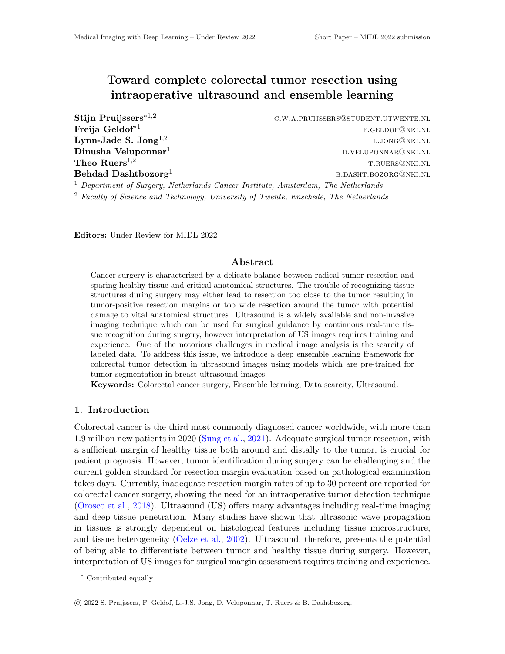# Toward complete colorectal tumor resection using intraoperative ultrasound and ensemble learning

Lynn-Jade S. Jong<sup>1,2</sup>

Stijn Pruijssers<sup>\*1,2</sup> c.w.a.pruijssers@student.utwente.nl  $\textbf{Freia Geldof}^{*1}$  free  $\textbf{F.GELDOF@NKI.NL}$ l.jong@nki.nl  $D$ inusha Veluponnar<sup>1</sup> d.veluponnar<sup>1</sup> d.veluponnar d.veluponnar<sup>1</sup> d.veluponnar<sup>1</sup> d.veluponnar<sup>1</sup> d.veluponnar<sup>1</sup> **Theo Ruers**<sup>1,2</sup> T.RUERS@NKI.NL  $\bf{Behdad\ Dashbotozorg^1}$  b.dasht $\bf{bozorg^1}$ 

 $<sup>1</sup>$  Department of Surgery, Netherlands Cancer Institute, Amsterdam, The Netherlands</sup>

 $2$  Faculty of Science and Technology, University of Twente, Enschede, The Netherlands

Editors: Under Review for MIDL 2022

## Abstract

Cancer surgery is characterized by a delicate balance between radical tumor resection and sparing healthy tissue and critical anatomical structures. The trouble of recognizing tissue structures during surgery may either lead to resection too close to the tumor resulting in tumor-positive resection margins or too wide resection around the tumor with potential damage to vital anatomical structures. Ultrasound is a widely available and non-invasive imaging technique which can be used for surgical guidance by continuous real-time tissue recognition during surgery, however interpretation of US images requires training and experience. One of the notorious challenges in medical image analysis is the scarcity of labeled data. To address this issue, we introduce a deep ensemble learning framework for colorectal tumor detection in ultrasound images using models which are pre-trained for tumor segmentation in breast ultrasound images.

Keywords: Colorectal cancer surgery, Ensemble learning, Data scarcity, Ultrasound.

## 1. Introduction

Colorectal cancer is the third most commonly diagnosed cancer worldwide, with more than 1.9 million new patients in 2020 [\(Sung et al.,](#page-2-0) [2021\)](#page-2-0). Adequate surgical tumor resection, with a sufficient margin of healthy tissue both around and distally to the tumor, is crucial for patient prognosis. However, tumor identification during surgery can be challenging and the current golden standard for resection margin evaluation based on pathological examination takes days. Currently, inadequate resection margin rates of up to 30 percent are reported for colorectal cancer surgery, showing the need for an intraoperative tumor detection technique [\(Orosco et al.,](#page-2-1) [2018\)](#page-2-1). Ultrasound (US) offers many advantages including real-time imaging and deep tissue penetration. Many studies have shown that ultrasonic wave propagation in tissues is strongly dependent on histological features including tissue microstructure, and tissue heterogeneity [\(Oelze et al.,](#page-2-2) [2002\)](#page-2-2). Ultrasound, therefore, presents the potential of being able to differentiate between tumor and healthy tissue during surgery. However, interpretation of US images for surgical margin assessment requires training and experience.

<sup>∗</sup> Contributed equally

<sup>©</sup> 2022 S. Pruijssers, F. Geldof, L.-J.S. Jong, D. Veluponnar, T. Ruers & B. Dashtbozorg.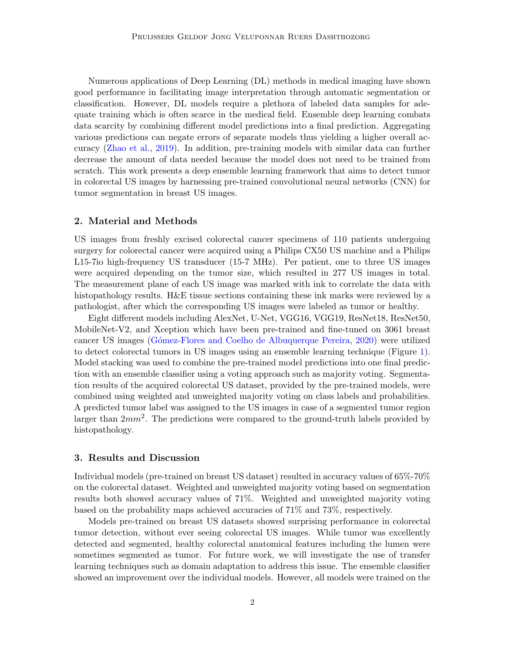Numerous applications of Deep Learning (DL) methods in medical imaging have shown good performance in facilitating image interpretation through automatic segmentation or classification. However, DL models require a plethora of labeled data samples for adequate training which is often scarce in the medical field. Ensemble deep learning combats data scarcity by combining different model predictions into a final prediction. Aggregating various predictions can negate errors of separate models thus yielding a higher overall accuracy [\(Zhao et al.,](#page-2-3) [2019\)](#page-2-3). In addition, pre-training models with similar data can further decrease the amount of data needed because the model does not need to be trained from scratch. This work presents a deep ensemble learning framework that aims to detect tumor in colorectal US images by harnessing pre-trained convolutional neural networks (CNN) for tumor segmentation in breast US images.

## 2. Material and Methods

US images from freshly excised colorectal cancer specimens of 110 patients undergoing surgery for colorectal cancer were acquired using a Philips CX50 US machine and a Philips L15-7io high-frequency US transducer (15-7 MHz). Per patient, one to three US images were acquired depending on the tumor size, which resulted in 277 US images in total. The measurement plane of each US image was marked with ink to correlate the data with histopathology results. H&E tissue sections containing these ink marks were reviewed by a pathologist, after which the corresponding US images were labeled as tumor or healthy.

Eight different models including AlexNet, U-Net, VGG16, VGG19, ResNet18, ResNet50, MobileNet-V2, and Xception which have been pre-trained and fine-tuned on 3061 breast cancer US images [\(G´omez-Flores and Coelho de Albuquerque Pereira,](#page-2-4) [2020\)](#page-2-4) were utilized to detect colorectal tumors in US images using an ensemble learning technique (Figure [1\)](#page-2-5). Model stacking was used to combine the pre-trained model predictions into one final prediction with an ensemble classifier using a voting approach such as majority voting. Segmentation results of the acquired colorectal US dataset, provided by the pre-trained models, were combined using weighted and unweighted majority voting on class labels and probabilities. A predicted tumor label was assigned to the US images in case of a segmented tumor region larger than  $2mm^2$ . The predictions were compared to the ground-truth labels provided by histopathology.

### 3. Results and Discussion

Individual models (pre-trained on breast US dataset) resulted in accuracy values of 65%-70% on the colorectal dataset. Weighted and unweighted majority voting based on segmentation results both showed accuracy values of 71%. Weighted and unweighted majority voting based on the probability maps achieved accuracies of 71% and 73%, respectively.

Models pre-trained on breast US datasets showed surprising performance in colorectal tumor detection, without ever seeing colorectal US images. While tumor was excellently detected and segmented, healthy colorectal anatomical features including the lumen were sometimes segmented as tumor. For future work, we will investigate the use of transfer learning techniques such as domain adaptation to address this issue. The ensemble classifier showed an improvement over the individual models. However, all models were trained on the